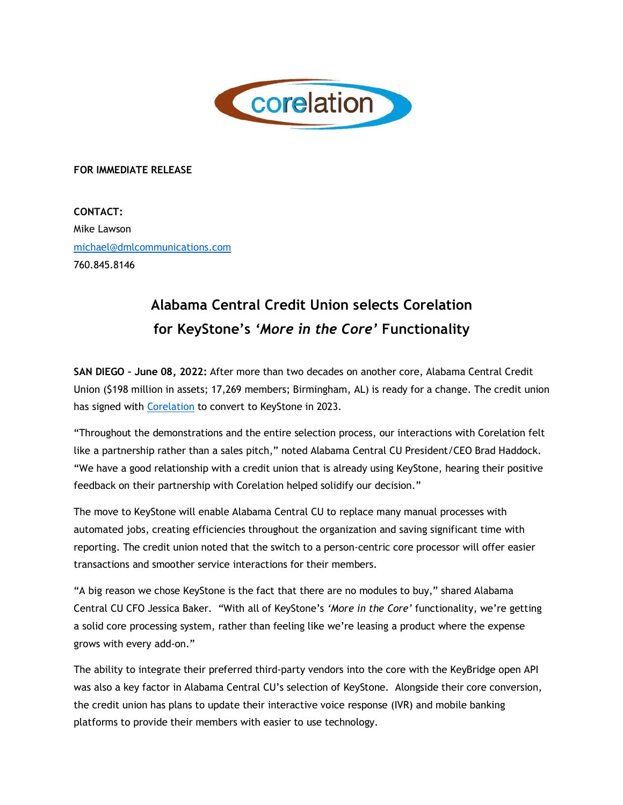

## **FOR IMMEDIATE RELEASE**

**CONTACT:** Mike Lawson michael@dmlcommunications.com 760.845.8146

## **Alabama Central Credit Union selects Corelation for KeyStone's** *'More in the Core'* **Functionality**

**SAN DIEGO – June 08, 2022:** After more than two decades on another core, Alabama Central Credit Union (\$198 million in assets; 17,269 members; Birmingham, AL) is ready for a change. The credit union has signed with Corelation to convert to KeyStone in 2023.

"Throughout the demonstrations and the entire selection process, our interactions with Corelation felt like a partnership rather than a sales pitch," noted Alabama Central CU President/CEO Brad Haddock. "We have a good relationship with a credit union that is already using KeyStone, hearing their positive feedback on their partnership with Corelation helped solidify our decision."

The move to KeyStone will enable Alabama Central CU to replace many manual processes with automated jobs, creating efficiencies throughout the organization and saving significant time with reporting. The credit union noted that the switch to a person-centric core processor will offer easier transactions and smoother service interactions for their members.

"A big reason we chose KeyStone is the fact that there are no modules to buy," shared Alabama Central CU CFO Jessica Baker. "With all of KeyStone's *'More in the Core'* functionality, we're getting a solid core processing system, rather than feeling like we're leasing a product where the expense grows with every add-on."

The ability to integrate their preferred third-party vendors into the core with the KeyBridge open API was also a key factor in Alabama Central CU's selection of KeyStone. Alongside their core conversion, the credit union has plans to update their interactive voice response (IVR) and mobile banking platforms to provide their members with easier to use technology.